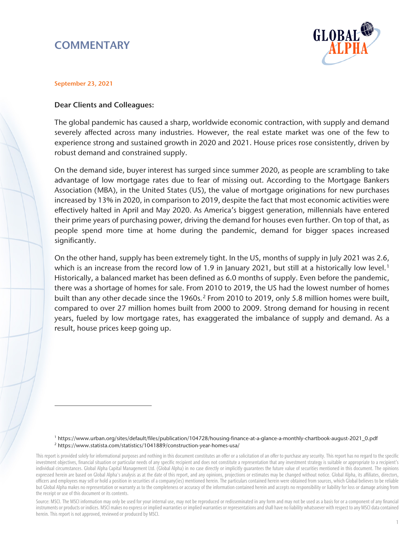# **COMMENTARY**



#### September 23, 2021

 $\overline{a}$ 

### Dear Clients and Colleagues:

The global pandemic has caused a sharp, worldwide economic contraction, with supply and demand severely affected across many industries. However, the real estate market was one of the few to experience strong and sustained growth in 2020 and 2021. House prices rose consistently, driven by robust demand and constrained supply.

On the demand side, buyer interest has surged since summer 2020, as people are scrambling to take advantage of low mortgage rates due to fear of missing out. According to the Mortgage Bankers Association (MBA), in the United States (US), the value of mortgage originations for new purchases increased by 13% in 2020, in comparison to 2019, despite the fact that most economic activities were effectively halted in April and May 2020. As America's biggest generation, millennials have entered their prime years of purchasing power, driving the demand for houses even further. On top of that, as people spend more time at home during the pandemic, demand for bigger spaces increased significantly.

On the other hand, supply has been extremely tight. In the US, months of supply in July 2021 was 2.6, which is an increase from the record low of [1](#page-0-0).9 in January 2021, but still at a historically low level.<sup>1</sup> Historically, a balanced market has been defined as 6.0 months of supply. Even before the pandemic, there was a shortage of homes for sale. From 2010 to 2019, the US had the lowest number of homes built than any other decade since the 1960s.<sup>[2](#page-0-1)</sup> From 2010 to 2019, only 5.8 million homes were built, compared to over 27 million homes built from 2000 to 2009. Strong demand for housing in recent years, fueled by low mortgage rates, has exaggerated the imbalance of supply and demand. As a result, house prices keep going up.

1 [https://www.urban.org/sites/default/files/publication/104728/housing-finance-at-a-glance-a-monthly-chartbook-august-2021\\_0.pdf](https://www.urban.org/sites/default/files/publication/104728/housing-finance-at-a-glance-a-monthly-chartbook-august-2021_0.pdf)  <sup>2</sup> <https://www.statista.com/statistics/1041889/construction-year-homes-usa/>

Source: MSCI. The MSCI information may only be used for your internal use, may not be reproduced or redisseminated in any form and may not be used as a basis for or a component of any financial instruments or products or indices. MSCI makes no express or implied warranties or implied warranties or representations and shall have no liability whatsoever with respect to any MSCI data contained herein. This report is not approved, reviewed or produced by MSCI.

<span id="page-0-1"></span><span id="page-0-0"></span>This report is provided solely for informational purposes and nothing in this document constitutes an offer or a solicitation of an offer to purchase any security. This report has no regard to the specific investment objectives, financial situation or particular needs of any specific recipient and does not constitute a representation that any investment strategy is suitable or appropriate to a recipient's individual circumstances. Global Alpha Capital Management Ltd. (Global Alpha) in no case directly or implicitly guarantees the future value of securities mentioned in this document. The opinions expressed herein are based on Global Alpha's analysis as at the date of this report, and any opinions, projections or estimates may be changed without notice. Global Alpha, its affiliates, directors, officers and employees may sell or hold a position in securities of a company(ies) mentioned herein. The particulars contained herein were obtained from sources, which Global believes to be reliable but Global Alpha makes no representation or warranty as to the completeness or accuracy of the information contained herein and accepts no responsibility or liability for loss or damage arising from the receipt or use of this document or its contents.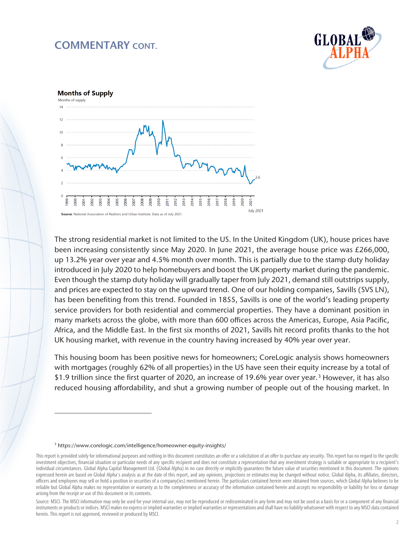## COMMENTARY CONT.





The strong residential market is not limited to the US. In the United Kingdom (UK), house prices have been increasing consistently since May 2020. In June 2021, the average house price was £266,000, up 13.2% year over year and 4.5% month over month. This is partially due to the stamp duty holiday introduced in July 2020 to help homebuyers and boost the UK property market during the pandemic. Even though the stamp duty holiday will gradually taper from July 2021, demand still outstrips supply, and prices are expected to stay on the upward trend. One of our holding companies, Savills (SVS LN), has been benefiting from this trend. Founded in 1855, Savills is one of the world's leading property service providers for both residential and commercial properties. They have a dominant position in many markets across the globe, with more than 600 offices across the Americas, Europe, Asia Pacific, Africa, and the Middle East. In the first six months of 2021, Savills hit record profits thanks to the hot UK housing market, with revenue in the country having increased by 40% year over year.

This housing boom has been positive news for homeowners; CoreLogic analysis shows homeowners with mortgages (roughly 62% of all properties) in the US have seen their equity increase by a total of \$1.9 trillion since the first quarter of 2020, an increase of 19.6% year over year.[3](#page-1-0) However, it has also reduced housing affordability, and shut a growing number of people out of the housing market. In

 $\overline{a}$ 

<sup>3</sup> <https://www.corelogic.com/intelligence/homeowner-equity-insights/>

<span id="page-1-1"></span><span id="page-1-0"></span>This report is provided solely for informational purposes and nothing in this document constitutes an offer or a solicitation of an offer to purchase any security. This report has no regard to the specific investment objectives, financial situation or particular needs of any specific recipient and does not constitute a representation that any investment strategy is suitable or appropriate to a recipient's individual circumstances. Global Alpha Capital Management Ltd. (Global Alpha) in no case directly or implicitly guarantees the future value of securities mentioned in this document. The opinions expressed herein are based on Global Alpha's analysis as at the date of this report, and any opinions, projections or estimates may be changed without notice. Global Alpha, its affiliates, directors, officers and employees may sell or hold a position in securities of a company(ies) mentioned herein. The particulars contained herein were obtained from sources, which Global Alpha believes to be reliable but Global Alpha makes no representation or warranty as to the completeness or accuracy of the information contained herein and accepts no responsibility or liability for loss or damage arising from the receipt or use of this document or its contents.

Source: MSCI. The MSCI information may only be used for your internal use, may not be reproduced or redisseminated in any form and may not be used as a basis for or a component of any financial instruments or products or indices. MSCI makes no express or implied warranties or implied warranties or representations and shall have no liability whatsoever with respect to any MSCI data contained herein. This report is not approved, reviewed or produced by MSCI.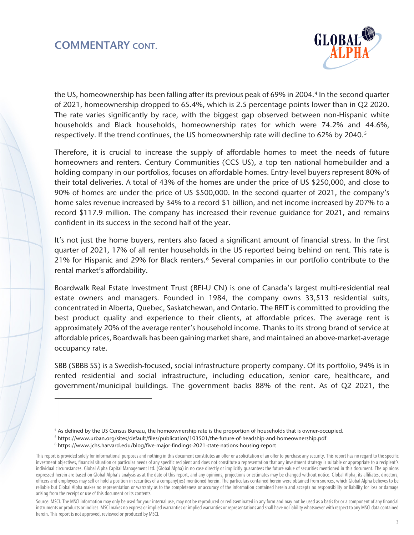

the US, homeownership has been falling after its previous peak of 69% in 200[4](#page-1-1).<sup>4</sup> In the second quarter of 2021, homeownership dropped to 65.4%, which is 2.5 percentage points lower than in Q2 2020. The rate varies significantly by race, with the biggest gap observed between non-Hispanic white households and Black households, homeownership rates for which were 74.2% and 44.6%, respectively. If the trend continues, the US homeownership rate will decline to 62% by 2040.<sup>5</sup>

Therefore, it is crucial to increase the supply of affordable homes to meet the needs of future homeowners and renters. Century Communities (CCS US), a top ten national homebuilder and a holding company in our portfolios, focuses on affordable homes. Entry-level buyers represent 80% of their total deliveries. A total of 43% of the homes are under the price of US \$250,000, and close to 90% of homes are under the price of US \$500,000. In the second quarter of 2021, the company's home sales revenue increased by 34% to a record \$1 billion, and net income increased by 207% to a record \$117.9 million. The company has increased their revenue guidance for 2021, and remains confident in its success in the second half of the year.

It's not just the home buyers, renters also faced a significant amount of financial stress. In the first quarter of 2021, 17% of all renter households in the US reported being behind on rent. This rate is 21% for Hispanic and 29% for Black renters.<sup>[6](#page-2-1)</sup> Several companies in our portfolio contribute to the rental market's affordability.

Boardwalk Real Estate Investment Trust (BEI-U CN) is one of Canada's largest multi-residential real estate owners and managers. Founded in 1984, the company owns 33,513 residential suits, concentrated in Alberta, Quebec, Saskatchewan, and Ontario. The REIT is committed to providing the best product quality and experience to their clients, at affordable prices. The average rent is approximately 20% of the average renter's household income. Thanks to its strong brand of service at affordable prices, Boardwalk has been gaining market share, and maintained an above-market-average occupancy rate.

SBB (SBBB SS) is a Swedish-focused, social infrastructure property company. Of its portfolio, 94% is in rented residential and social infrastructure, including education, senior care, healthcare, and government/municipal buildings. The government backs 88% of the rent. As of Q2 2021, the

 $\overline{a}$ 

<sup>4</sup> As defined by the US Census Bureau, the homeownership rate is the proportion of households that is owner-occupied.

<sup>5</sup> <https://www.urban.org/sites/default/files/publication/103501/the-future-of-headship-and-homeownership.pdf>

<sup>6</sup> https://www.jchs.harvard.edu/blog/five-major-findings-2021-state-nations-housing-report

<span id="page-2-2"></span><span id="page-2-1"></span><span id="page-2-0"></span>This report is provided solely for informational purposes and nothing in this document constitutes an offer or a solicitation of an offer to purchase any security. This report has no regard to the specific investment objectives, financial situation or particular needs of any specific recipient and does not constitute a representation that any investment strategy is suitable or appropriate to a recipient's individual circumstances. Global Alpha Capital Management Ltd. (Global Alpha) in no case directly or implicitly guarantees the future value of securities mentioned in this document. The opinions expressed herein are based on Global Alpha's analysis as at the date of this report, and any opinions, projections or estimates may be changed without notice. Global Alpha, its affiliates, directors, officers and employees may sell or hold a position in securities of a company(ies) mentioned herein. The particulars contained herein were obtained from sources, which Global Alpha believes to be reliable but Global Alpha makes no representation or warranty as to the completeness or accuracy of the information contained herein and accepts no responsibility or liability for loss or damage arising from the receipt or use of this document or its contents.

Source: MSCI. The MSCI information may only be used for your internal use, may not be reproduced or redisseminated in any form and may not be used as a basis for or a component of any financial instruments or products or indices. MSCI makes no express or implied warranties or implied warranties or representations and shall have no liability whatsoever with respect to any MSCI data contained herein. This report is not approved, reviewed or produced by MSCI.